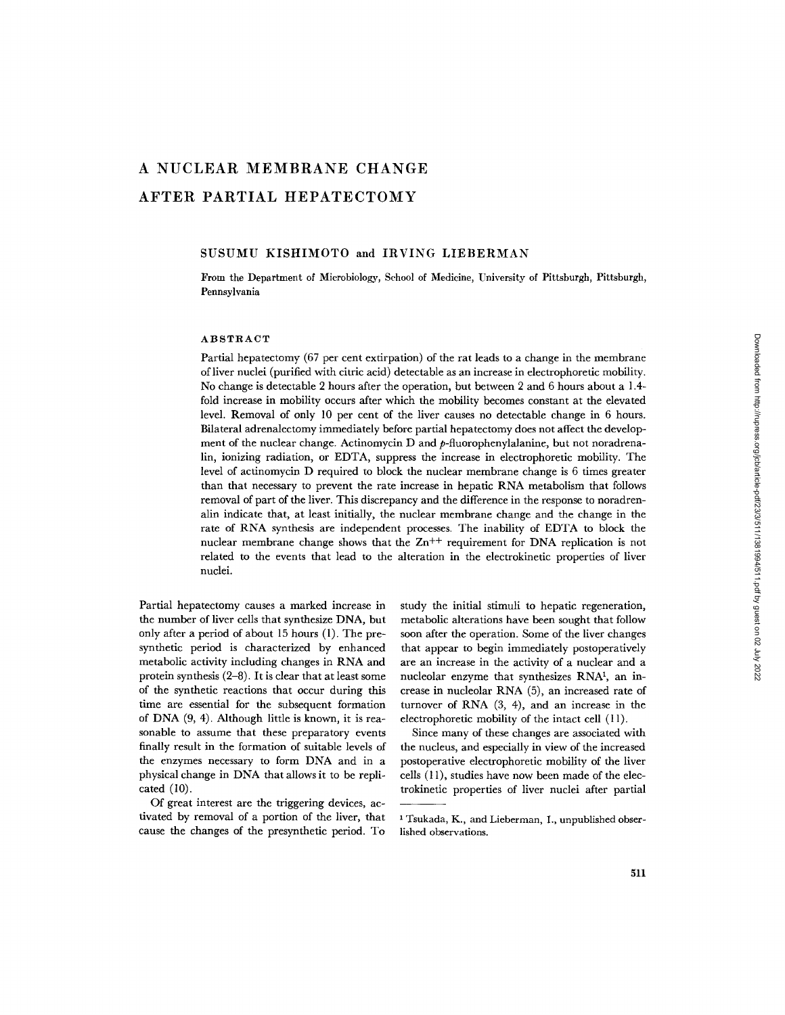# **A NUCLEAR MEMBRANE CHANGE AFTER PARTIAL HEPATECTOMY**

## SUSUMU KISHIMOTO and IRVING LIEBERMAN

From the Department of Microbiology, School of Medicine, University of Pittsburgh, Pittsburgh, Pennsylvania

## ABSTRACT

Partial hepatectomy (67 per cent extirpation) of the rat leads to a change in the membrane of liver nuclei (purified with citric acid) detectable as an increase in ¢lectrophoretic mobility. No change is detectable 2 hours after the operation, but between 2 and 6 hours about a 1.4 fold increase in mobility occurs after which the mobility becomes constant at the elevated level. Removal of only l0 per cent of the liver causes no detectable change in 6 hours. Bilateral adrenalectomy immediately before partial hepatectomy does not affect the development of the nuclear change. Actinomycin D and *p-fluorophcnylalanine,* but not noradrenalin, ionizing radiation, or EDTA, suppress the increase in electrophoretic mobility. The level of actinomycin D required to block the nuclear membrane change is 6 times greater than that necessary to prevent the rate increase in hepatic RNA metabolism that follows removal of part of the liver. This discrepancy and the difference in the response to noradrenalin indicate that, at least initially, the nuclear membrane change and the change in the rate of RNA synthesis are independent processes. The inability of EDTA to block the nuclear membrane change shows that the  $Zn^{++}$  requirement for DNA replication is not related to the events that lead to the alteration in the electrokinetic properties of liver nuclei.

Partial hepatectomy causes a marked increase in the number of liver cells that synthesize DNA, but only after a period of about 15 hours (1). The presynthetic period is characterized by enhanced metabolic activity including changes in RNA and protein synthesis (2-8). It is clear that at least some of the synthetic reactions that occur during this time are essential for the subsequent formation of DNA (9, 4). Although little is known, it is reasonable to assume that these preparatory events finally result in the formation of suitable levels of the enzymes necessary to form DNA and in a physical change in DNA that allows it to be replicated (10).

Of great interest are the triggering devices, activated by removal of a portion of the liver, that cause the changes of the presynthetic period. To

study the initial stimuli to hepatic regeneration, metabolic alterations have been sought that follow soon after the operation. Some of the liver changes that appear to begin immediately postoperatively are an increase in the activity of a nuclear and a nucleolar enzyme that synthesizes RNA<sup>1</sup>, an increase in nucleolar RNA (5), an increased rate of turnover of RNA (3, 4), and an increase in the electrophoretic mobility of the intact cell (11).

Since many of these changes are associated with the nucleus, and especially in view of the increased postoperative electrophoretic mobility of the liver cells (11), studies have now been made of the electrokinetic properties of liver nuclei after partial

<sup>&</sup>lt;sup>1</sup> Tsukada, K., and Lieberman, I., unpublished obserlished observations.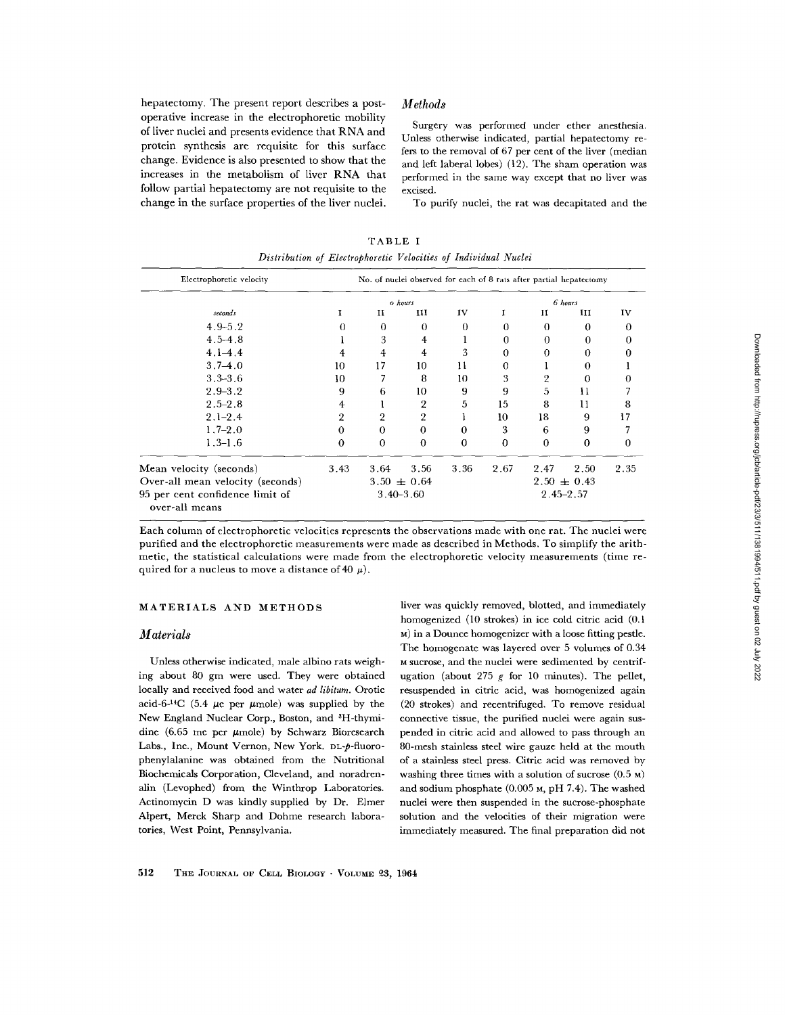hepatectomy. The present report describes a postoperative increase in the electrophoretic mobility of liver nuclei and presents evidence that RNA and protein synthesis are requisite for this surface change. Evidence is also presented to show that the increases in the metabolism of liver RNA that follow partial hepatectomy are not requisite to the change in the surface properties of the liver nuclei.

## *Methods*

Surgery was performed under ether anesthesia. Unless otherwise indicated, partial hepatectomy refers to the removal of 67 per cent of the liver (median and left laberal lobes) (12). The sham operation was performed in the same way except that no liver was excised.

To purify nuclei, the rat was decapitated and the

TABLE I *Distribution of Electrophoretic Velocities of Individual Nuclei* 

| Electrophoretic velocity                          | No. of nuclei observed for each of 8 rats after partial hepatectomy |             |                |                 |             |          |               |                  |
|---------------------------------------------------|---------------------------------------------------------------------|-------------|----------------|-----------------|-------------|----------|---------------|------------------|
|                                                   | o hours                                                             |             |                |                 | 6 hours     |          |               |                  |
| seconds                                           |                                                                     | и           | ш              | IV              |             | и        | ш             | IV               |
| $4.9 - 5.2$                                       | 0                                                                   | $\mathbf 0$ | $\Omega$       | 0               | $\Omega$    | $\Omega$ | $\Omega$      | $\boldsymbol{0}$ |
| $4.5 - 4.8$                                       |                                                                     | 3           | 4              |                 | 0           | 0        | $\Omega$      | 0                |
| $4.1 - 4.4$                                       | 4                                                                   | 4           | 4              | 3               | 0           | 0        | $\Omega$      | o                |
| $3.7 - 4.0$                                       | 10                                                                  | 17          | 10             | 11              | $\mathbf 0$ |          | $\Omega$      |                  |
| $3.3 - 3.6$                                       | 10 <sup>°</sup>                                                     |             | 8              | 10              | 3           | 2        | 0             | 0                |
| $2.9 - 3.2$                                       | 9                                                                   | 6           | 10             | 9               | 9           | 5        | п             |                  |
| $2.5 - 2.8$                                       | 4                                                                   |             | $\overline{2}$ | 5               | 15          | 8        | 11            | 8                |
| $2.1 - 2.4$                                       | 2                                                                   | 2           | $\overline{2}$ |                 | 10          | 18       | 9             | 17               |
| $1.7 - 2.0$                                       | $\Omega$                                                            | $\Omega$    | $\theta$       | 0               | 3           | 6        | 9             |                  |
| $1.3 - 1.6$                                       | $\Omega$                                                            | $\theta$    | $\bf{0}$       | $\bf{0}$        | $\bf{0}$    | $\theta$ | 0             | $\bf{0}$         |
| Mean velocity (seconds)                           | 3.43                                                                | 3.64        | 3.56           | 3.36            | 2.67        | 2.47     | 2.50          | 2.35             |
| Over-all mean velocity (seconds)                  | $3.50 \pm 0.64$                                                     |             |                | $2.50 \pm 0.43$ |             |          |               |                  |
| 95 per cent confidence limit of<br>over-all means |                                                                     |             | $3.40 - 3.60$  |                 |             |          | $2.45 - 2.57$ |                  |

Each column of electrophoretic velocities represents the observations made with one rat. The nuclei were purified and the electrophoretie measurements were made as described in Methods. To simplify the arithmetic, the statistical calculations were made from the electrophoretic velocity measurements (time required for a nucleus to move a distance of 40  $\mu$ ).

# MATERIALS AND METHODS

## *Materials*

Unless otherwise indicated, male albino rats weighing about 80 gm were used. They were obtained locally and received food and water *ad libiturn.* Orotic acid-6-<sup>14</sup>C (5.4  $\mu$ c per  $\mu$ mole) was supplied by the New England Nuclear Corp., Boston, and <sup>3</sup>H-thymidine (6.65 me per  $\mu$ mole) by Schwarz Bioresearch Labs., Inc., Mount Vernon, New York. DL-p-fluorophenylalanine was obtained from the Nutritional Biochemicals Corporation, Cleveland, and noradrenalin (Levophed) from the Winthrop Laboratories. Actinomycin D was kindly supplied by Dr. Elmer Alpert, Merck Sharp and Dohme research laboratories, West Point, Pennsylvania.

liver was quickly removed, blotted, and immediately homogenized (10 strokes) in ice cold citric acid (0.1 M) in a Dounce homogenizer with a loose fitting pestle. The homogenate was layered over 5 volumes of 0.34 M sucrose, and the nuclei were sedimented by centrifugation (about 275  $g$  for 10 minutes). The pellet, resuspended in citric acid, was homogenized again (20 strokes) and recentrifuged. To remove residual connective tissue, the purified nuclei were again suspended in citric acid and allowed to pass through an 80-mesh stainless steel wire gauze held at the mouth of a stainless steel press. Citric acid was removed by washing three times with a solution of sucrose (0.5 M) and sodium phosphate (0.005 M, pH 7.4). The washed nuclei were then suspended in the sucrose-phosphate solution and the velocities of their migration were immediately measured. The final preparation did not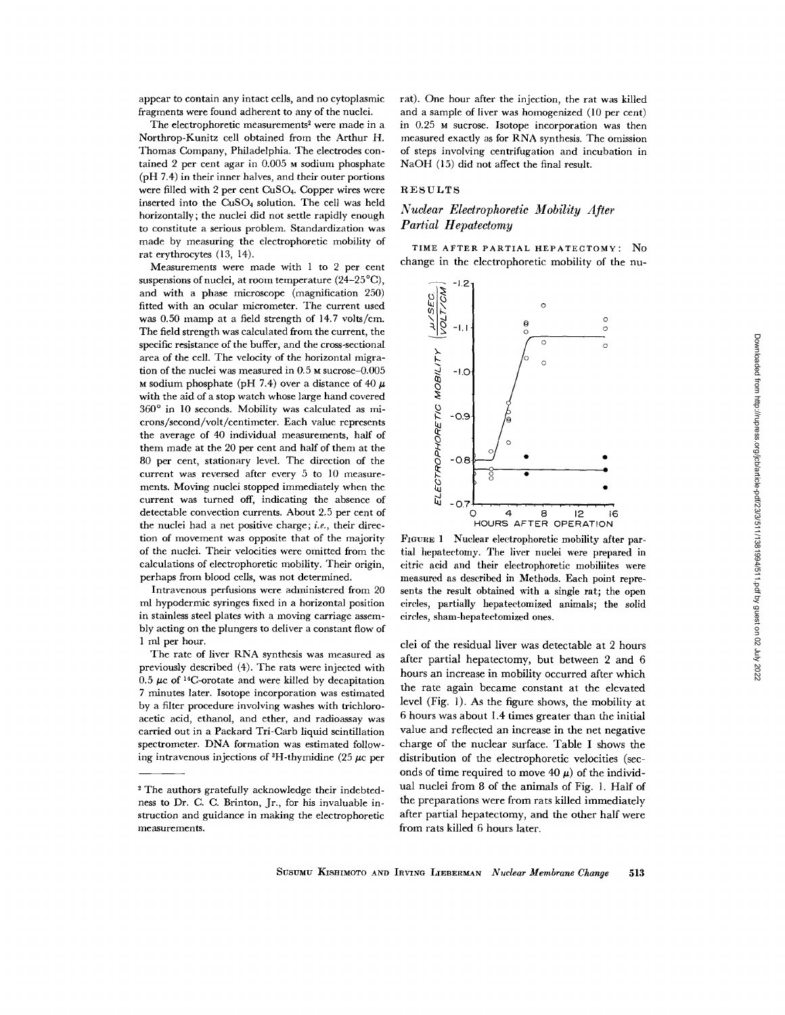appear to contain any intact cells, and no cytoplasmic fragments were found adherent to any of the nuclei.

The electrophoretic measurements<sup>2</sup> were made in a Northrop-Kunitz cell obtained from the Arthur H. Thomas Company, Philadelphia. The electrodes contained 2 per cent agar in 0.005 M sodium phosphate (pH 7.4) in their inner halves, and their outer portions were filled with 2 per cent CuSO4. Copper wires were inserted into the CuSO<sub>4</sub> solution. The cell was held horizontally; the nuclei did not settle rapidly enough to constitute a serious problem. Standardization was made by measuring the electrophoretic mobility of rat erythrocytes (13, 14).

Measurements were made with 1 to 2 per cent suspensions of nuclei, at room temperature  $(24-25^{\circ}C)$ , and with a phase microscope (magnification 250) fitted with an ocular micrometer. The current used was 0.50 mamp at a field strength of 14.7 volts/cm. The field strength was calculated from the current, the specific resistance of the buffer, and the cross-sectional area of the cell. The velocity of the horizontal migration of the nuclei was measured in 0.5 M sucrose-0.005 M sodium phosphate (pH 7.4) over a distance of 40  $\mu$ with the aid of a stop watch whose large hand covered 360° in 10 seconds. Mobility was calculated as microns/second/volt/centimeter. Each value represents the average of 40 individual measurements, half of them made at the 20 per cent and half of them at the 80 per cent, stationary level. The direction of the current was reversed after every 5 to 10 measurements. Moving nuclei stopped immediately when the current was turned off, indicating the absence of detectable convection currents. About 2.5 per cent of the nuclei had a net positive charge; *i.e.,* their direction of movement was opposite that of the majority of the nuclei. Their velocities were omitted from the calculations of electrophoretic mobility. Their origin, perhaps from blood cells, was not determined.

Intravenous perfusions were administered from 20 ml hypodermic syringes fixed in a horizontal position in stainless steel plates with a moving carriage assembly acting on the plungers to deliver a constant flow of 1 ml per hour.

The rate of liver RNA synthesis was measured as previously described (4). The rats were injected with 0.5  $\mu$ c of <sup>14</sup>C-orotate and were killed by decapitation 7 minutes later. Isotope incorporation was estimated by a filter procedure involving washes with trichloroacetic acid, ethanol, and ether, and radioassay was carried out in a Packard Tri-Carb liquid scintillation spectrometer. DNA formation was estimated following intravenous injections of  $H$ -thymidine (25  $\mu$ c per rat). One hour after the injection, the rat was killed and a sample of fiver was homogenized (10 per cent) in 0.25 M sucrose. Isotope incorporation was then measured exactly as for RNA synthesis. The omission of steps involving centrifugation and incubation in NaOH (15) did not affect the final result.

## RESULTS

# *Nuclear Electrophoretic Mobility After Partial Hepatectomy*

TIME AFTER PARTIAL HEPATECTOMY: No change in the electrophoretic mobility of the nu-



FIGURE 1 Nuclear eleetrophoretie mobility after partial hepatectomy. The liver nuclei were prepared in citric acid and their electrophoretic mobiliites were measured as described in Methods. Each point represents the result obtained with a single rat; the open circles, partially hepateetomized animals; the solid circles, sham-hepateetomized ones.

clei of the residual liver was detectable at 2 hours after partial hepatectomy, but between 2 and 6 hours an increase in mobility occurred after which the rate again became constant at the elevated level (Fig. 1). As the figure shows, the mobility at 6 hours was about 1.4 times greater than the initial value and reflected an increase in the net negative charge of the nuclear surface. Table I shows the distribution of the electrophoretic velocities (seconds of time required to move 40  $\mu$ ) of the individual nuclei from 8 of the animals of Fig. 1. Half of the preparations were from rats killed immediately after partial hepatectomy, and the other half were from rats killed 6 hours later.

The authors gratefully acknowledge their indebtedness to Dr. C. C. Brinton, Jr., for his invaluable instruction and guidance in making the electrophoretic measurements.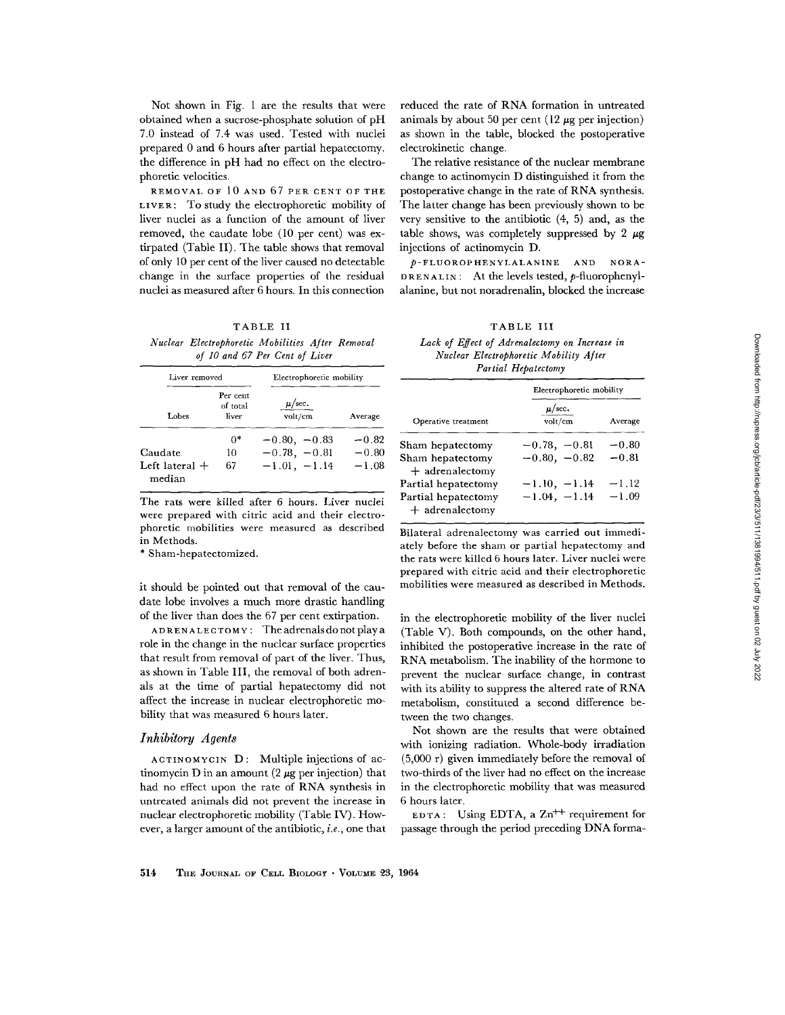Not shown in Fig. 1 are the results that were obtained when a sucrose-phosphate solution of pH 7.0 instead of 7.4 was used. Tested with nuclei prepared 0 and 6 hours after partial hepatectomy. the difference in pH had no effect on the electrophoretic velocities.

REMOVAL OF 10 AND 67 PER CENT OF THE LIVER: To study the electrophoretic mobility of liver nuclei as a function of the amount of liver removed, the caudate lobe (10 per cent) was extirpated (Table II). The table shows that removal of only 10 per cent of the liver caused no detectable change in the surface properties of the residual nuclei as measured after 6 hours. In this connection

#### TABLE II

*Nuclear Electrophoretic Mobilities After Removal of 10 and 67 Per Cent of Liver* 

| Liver removed              |                               | Electrophoretic mobility      |         |  |  |  |
|----------------------------|-------------------------------|-------------------------------|---------|--|--|--|
| Lobes                      | Per cent<br>of total<br>liver | $\mu/\text{sec}$ .<br>volt/cm | Average |  |  |  |
|                            | በ*                            | $-0.80, -0.83$                | $-0.82$ |  |  |  |
| Caudate                    | 10                            | $-0.78, -0.81$                | $-0.80$ |  |  |  |
| Left lateral $+$<br>median | 67                            | $-1.01, -1.14$                | $-1.08$ |  |  |  |

The rats were killed after 6 hours. Liver nuclei were prepared with citric acid and their electrophoretic mobilities were measured as described in Methods.

**\*** Sham-hepatectomized.

it should be pointed out that removal of the caudate lobe involves a much more drastic handling of the liver than does the 67 per cent extirpation.

ADRENALECTOMY : The adrenals do not play a role in the change in the nuclear surface properties that result from removal of part of the liver. Thus, as shown in Table III, the removal of both adrenals at the time of partial hepatectomy did not affect the increase in nuclear electrophoretic mobility that was measured 6 hours later.

## *Inhibffory Agents*

ACTINOMYCIN **D:** Multiple injections of actinomycin D in an amount (2  $\mu$ g per injection) that had no effect upon the rate of RNA synthesis in untreated animals did not prevent the increase in nuclear clectrophoretic mobility (Table IV). However, a larger amount of the antibiotic, *i.e.,* one that reduced the rate of RNA formation in untreated animals by about 50 per cent (12  $\mu$ g per injection) as shown in the table, blocked the postoperative electrokinetic change.

The relative resistance of the nuclear membrane change to actinomycin D distinguished it from the postoperative change in the rate of RNA synthesis. The latter change has been previously shown to be very sensitive to the antibiotic (4, 5) and, as the table shows, was completely suppressed by 2  $\mu$ g injections of actinomycin D.

p-FLUOROPHENYLALANINE AND NORA-DRENALIN: At the levels tested,  $p$ -fluorophenylalanine, but not noradrenalin, blocked the increase

TABLE III

*Lack of Effect of Adrenalectomy on Increase in Nuclear Electrophoretic Mobility After Partial Hepatectomy* 

|                                          | Electrophoretic mobility |         |  |  |  |  |  |
|------------------------------------------|--------------------------|---------|--|--|--|--|--|
| Operative treatment                      | $\mu$ /sec.<br>volt/cm   | Average |  |  |  |  |  |
| Sham hepatectomy                         | $-0.78, -0.81$           | $-0.80$ |  |  |  |  |  |
| Sham hepatectomy<br>$+$ adrenalectomy    | $-0.80, -0.82$           | $-0.81$ |  |  |  |  |  |
| Partial hepatectomy                      | $-1.10, -1.14$           | $-1.12$ |  |  |  |  |  |
| Partial hepatectomy<br>$+$ adrenalectomy | $-1.04, -1.14$           | $-1.09$ |  |  |  |  |  |

Bilateral adrenalectomy was carried out immediately before the sham or partial hepatectomy and the rats were killed 6 hours later. Liver nuclei were prepared with citric acid and their electrophoretic mobilities were measured as described in Methods.

in the electrophoretic mobility of the liver nuclei (Table V). Both compounds, on the other hand, inhibited the postoperative increase in the rate of RNA metabolism. The inability of the hormone to prevent the nuclear surface change, in contrast with its ability to suppress the altered rate of RNA metabolism, constituted a second difference between the two changes.

Not shown are the results that were obtained with ionizing radiation. Whole-body irradiation (5,000 r) given immediately before the removal of two-thirds of the liver had no effect on the increase in the electrophoretic mobility that was measured 6 hours later.

EDTA: Using EDTA, a  $Zn^{++}$  requirement for passage through the period preceding DNA forma-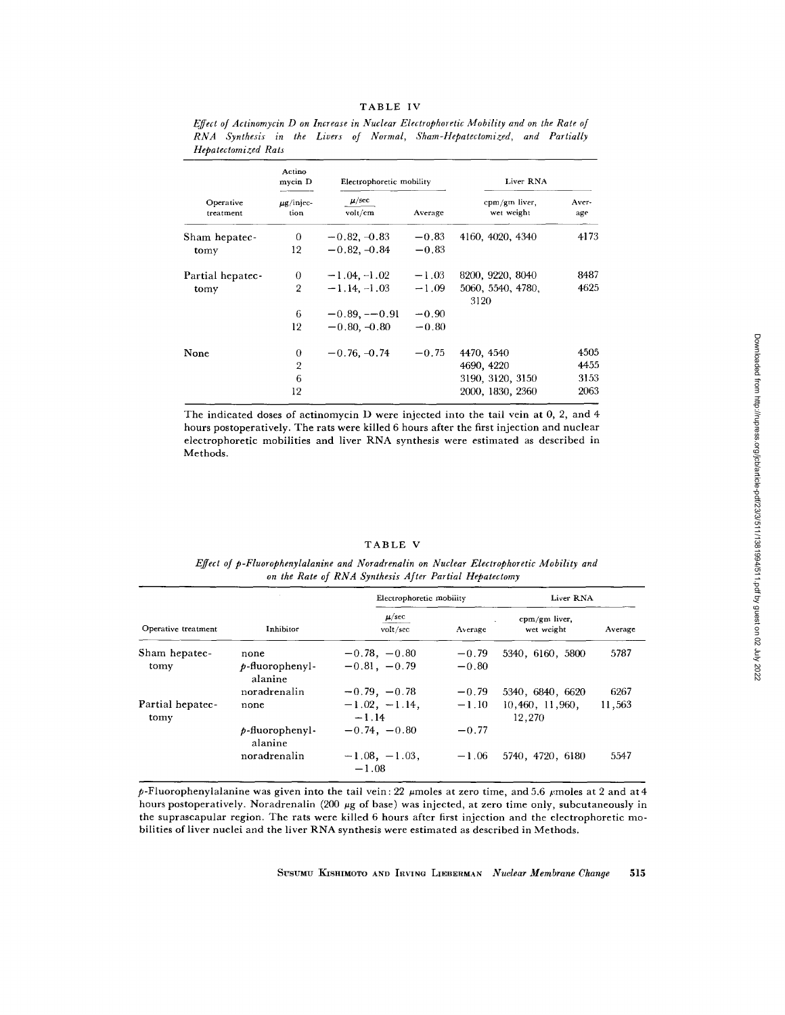|                        | Actino<br>mycin D      | Electrophoretic mobility |         | Liver RNA                   |              |  |
|------------------------|------------------------|--------------------------|---------|-----------------------------|--------------|--|
| Operative<br>treatment | $\mu$ g/injec-<br>tion | $\mu$ /sec<br>volt/cm    | Average | cpm/gm liver,<br>wet weight | Aver-<br>age |  |
| Sham hepatec-          | 0                      | $-0.82, -0.83$           | $-0.83$ | 4160, 4020, 4340            | 4173         |  |
| tomy                   | 12                     | $-0.82, -0.84$           | $-0.83$ |                             |              |  |
| Partial hepatec-       | 0                      | $-1.04, -1.02$           | $-1.03$ | 8200, 9220, 8040            | 8487         |  |
| tomy                   | $\overline{2}$         | $-1.14, -1.03$           | $-1.09$ | 5060, 5540, 4780,<br>3120   | 4625         |  |
|                        | 6                      | $-0.89, -0.91$           | $-0.90$ |                             |              |  |
|                        | 12                     | $-0.80, -0.80$           | $-0.80$ |                             |              |  |
| None                   | 0                      | $-0.76, -0.74$           | $-0.75$ | 4470, 4540                  | 4505         |  |
|                        | $\overline{2}$         |                          |         | 4690, 4220                  | 4455         |  |
|                        | 6                      |                          |         | 3190, 3120, 3150            | 3153         |  |
|                        | 12                     |                          |         | 2000, 1830, 2360            | 2063         |  |

*Effect of Actinomycin D on Increase in Nuclear Electrophoretic Mobility and on the Rate of RNA Synthesis in the Livers of Normal, Sham-Hepatectomized, and Partially Hepatectomized Rats* 

The indicated doses of actinomycin D were injected into the tail vein at 0, 2, and 4 hours postoperatively. The rats were killed 6 hours after the first injection and nuclear electrophoretic mobilities and liver RNA synthesis were estimated as described in Methods.

#### TABLE V

## *Effect of p-Fluorophenylalanine and Noradrenalin on Nuclear Electrophoretic Mobility and*  on the Rate of RNA Synthesis After Partial Hepatectomy

|                          |                               | Electrophoretic mobility   |         | Liver RNA                   |         |  |
|--------------------------|-------------------------------|----------------------------|---------|-----------------------------|---------|--|
| Operative treatment      | Inhibitor                     | $\mu/sec$<br>volt/sec      | Average | cpm/gm liver,<br>wet weight | Average |  |
| Sham hepatec-            | none                          | $-0.78, -0.80$             | $-0.79$ | 5340, 6160, 5800            | 5787    |  |
| tomy                     | $p$ -fluorophenyl-<br>alanine | $-0.81, -0.79$             | $-0.80$ |                             |         |  |
|                          | noradrenalin                  | $-0.79, -0.78$             | $-0.79$ | 5340, 6840, 6620            | 6267    |  |
| Partial hepatec-<br>tomy | none                          | $-1.02, -1.14,$<br>$-1.14$ | $-1.10$ | 10,460, 11,960,<br>12,270   | 11,563  |  |
|                          | $p$ -fluorophenyl-<br>alanine | $-0.74, -0.80$             | $-0.77$ |                             |         |  |
|                          | noradrenalin                  | $-1.08, -1.03,$<br>$-1.08$ | $-1.06$ | 5740, 4720, 6180            | 5547    |  |

p-Fluorophenylalanine was given into the tail vein: 22  $\mu$ moles at zero time, and 5.6  $\mu$ moles at 2 and at 4 hours postoperatively. Noradrenalin (200 µg of base) was injected, at zero time only, subcutaneously in the suprascapular region. The rats were killed 6 hours after first injection and the electrophoretic mobilities of liver nuclei and the liver RNA synthesis were estimated as described in Methods.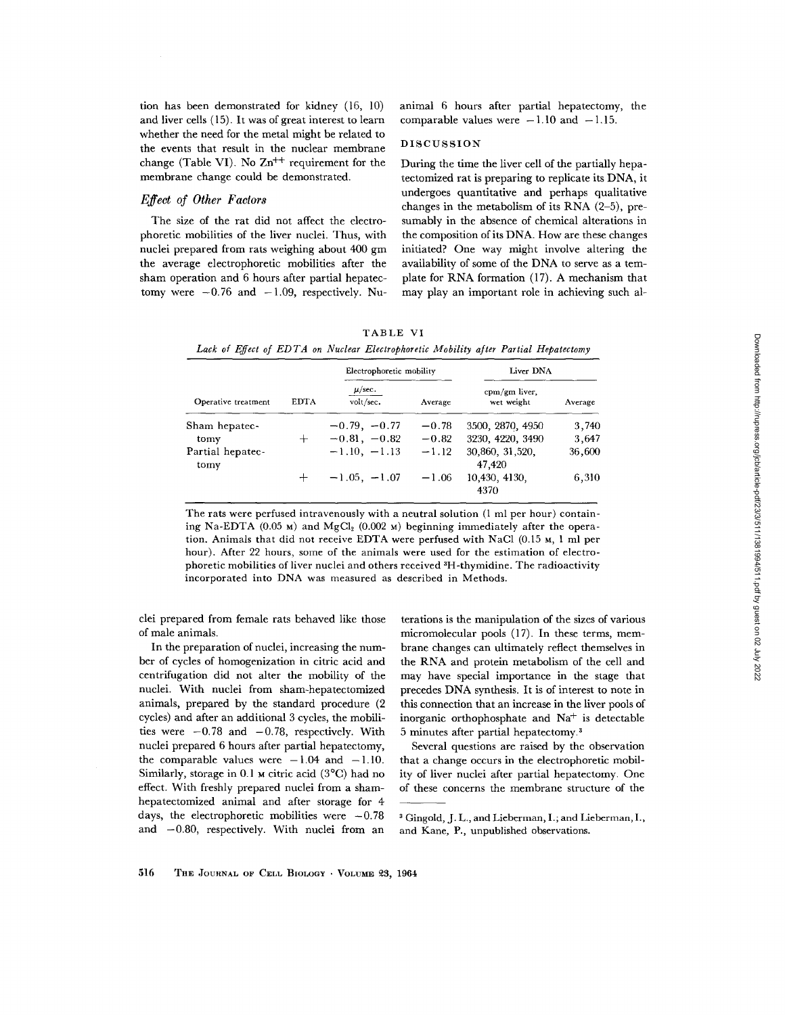tion has been demonstrated for kidney (16, 10) and liver cells (15). It was of great interest to learn whether the need for the metal might be related to the events that result in the nuclear membrane change (Table VI). No  $\text{Zn}^{++}$  requirement for the membrane change could be demonstrated.

## *Effect of Other Factors*

The size of the rat did not affect the electrophoretic mobilities of the liver nuclei. Thus, with nuclei prepared from rats weighing about 400 gm the average electrophoretic mobilities after the sham operation and 6 hours after partial hepatectomy were  $-0.76$  and  $-1.09$ , respectively. Nuanimal 6 hours after partial hepatectomy, the comparable values were  $-1.10$  and  $-1.15$ .

## DISCUSSION

During the time the liver cell of the partially hepatectomized rat is preparing to replicate its DNA, it undergoes quantitative and perhaps qualitative changes in the metabolism of its RNA (2-5), presumably in the absence of chemical alterations in the composition of its DNA. How are these changes initiated? One way might involve altering the availability of some of the DNA to serve as a template for RNA formation (17). A mechanism that may play an important role in achieving such al-

| TABLE VI |  |  |  |                                                                                      |  |  |  |  |
|----------|--|--|--|--------------------------------------------------------------------------------------|--|--|--|--|
|          |  |  |  | Lack of Effect of EDTA on Nuclear Electrophoretic Mobility after Partial Hepatectomy |  |  |  |  |

|                          |             | Electrophoretic mobility |         | Liver DNA                   |         |  |
|--------------------------|-------------|--------------------------|---------|-----------------------------|---------|--|
| Operative treatment      | <b>EDTA</b> | $\mu/sec.$<br>volt/sec.  | Average | cpm/gm liver,<br>wet weight | Average |  |
| Sham hepatec-            |             | $-0.79, -0.77$           | $-0.78$ | 3500, 2870, 4950            | 3,740   |  |
| tomy                     | $^+$        | $-0.81, -0.82$           | $-0.82$ | 3230, 4220, 3490            | 3,647   |  |
| Partial hepatec-<br>tomy |             | $-1.10, -1.13$           | $-1.12$ | 30,860, 31,520,<br>47,420   | 36,600  |  |
|                          | $\pm$       | $-1.05, -1.07$           | $-1.06$ | 10.430, 4130.<br>4370       | 6,310   |  |

The rats were perfused intravenously with a neutral solution (1 ml per hour) containing Na-EDTA (0.05 м) and MgCl<sub>2</sub> (0.002 м) beginning immediately after the operation. Animals that did not receive EDTA were perfused with NaG1 (0.15 M, 1 ml per hour). After 22 hours, some of the animals were used for the estimation of electrophoretic mobilities of liver nuclei and others received <sup>3</sup>H-thymidine. The radioactivity incorporated into DNA was measured as described in Methods.

clei prepared from female rats behaved like those of male animals.

In the preparation of nuclei, increasing the number of cycles of homogenization in citric acid and centrifugation did not alter the mobility of the nuclei. With nuclei from sham-hepatectomized animals, prepared by the standard procedure (2 cycles) and after an additional 3 cycles, the mobilities were  $-0.78$  and  $-0.78$ , respectively. With nuclei prepared 6 hours after partial hepatectomy, the comparable values were  $-1.04$  and  $-1.10$ . Similarly, storage in  $0.1$  M citric acid (3 $^{\circ}$ C) had no effect. With freshly prepared nuclei from a shamhepatectomized animal and after storage for 4 days, the electrophoretic mobilities were  $-0.78$ and  $-0.80$ , respectively. With nuclei from an

terations is the manipulation of the sizes of various micromolecular pools (17). In these terms, membrane changes can ultimately reflect themselves in the RNA and protein metabolism of the cell and may have special importance in the stage that precedes DNA synthesis. It is of interest to note in this connection that an increase in the liver pools of inorganic orthophosphate and  $Na<sup>+</sup>$  is detectable 5 minutes after partial hepatectomy. 3

Several questions are raised by the observation that a change occurs in the electrophoretic mobility of liver nuclei after partial hepatectomy. One of these concerns the membrane structure of the

3 Gingold, J. L., and Lieberman, I.; and Lieberman, I., and Kane, P., unpublished observations.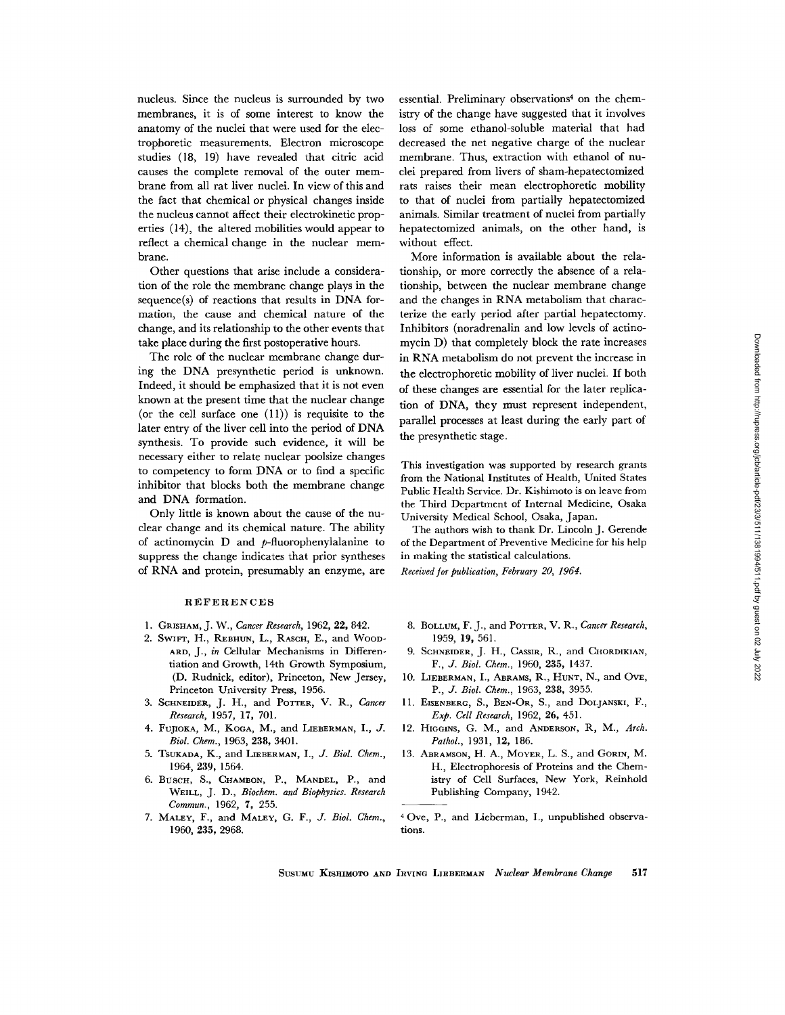nucleus. Since the nucleus is surrounded by two membranes, it is of some interest to know the anatomy of the nuclei that were used for the electrophoretic measurements. Electron microscope studies (18, 19) have revealed that citric acid causes the complete removal of the outer membrane from all rat liver nuclei. In view of this and the fact that chemical or physical changes inside the nucleus cannot affect their electrokinetic properties (14), the altered mobilities would appear to reflect a chemical change in the nuclear membrane.

Other questions that arise include a consideration of the role the membrane change plays in the sequence(s) of reactions that results in DNA formation, the cause and chemical nature of the change, and its relationship to the other events that take place during the first postoperative hours.

The role of the nuclear membrane change during the DNA presynthetic period is unknown. Indeed, it should be emphasized that it is not even known at the present time that the nuclear change (or the cell surface one  $(11)$ ) is requisite to the later entry of the liver cell into the period of DNA synthesis. To provide such evidence, it will be necessary either to relate nuclear poolsize changes to competency to form DNA or to find a specific inhibitor that blocks both the membrane change and DNA formation.

Only little is known about the cause of the nuclear change and its chemical nature. The ability of actinomycin D and p-fluorophenylalanine to suppress the change indicates that prior syntheses of RNA and protein, presumably an enzyme, are

#### REFERENCES

- 1. GRISHAM, J. W., *Cancer Research,* 1962, 22, 842.
- 2. SWIFT, H., REBHUN, L., RASCH, E., and WOOD-ARD, J., *in* Cellular Mechanisms in Differentiation and Growth, 14th Growth Symposium, (D. Rudnick, editor), Princeton, New Jersey, Princeton University Press, 1956.
- 3. SCHNEIDER, J. H., and POTTER, V. R., *Cancer Research,* 1957, 17, 701.
- 4. FUJIOKA, M., KocA, M., and LIEBERMAN, I., J. *Biol. Chem.,* 1963, 238, 3401.
- 5. TSUKADA, K., and LIEBERMAN, *I., J. Biol. Chem.,*  1964, 239, 1564.
- 6. BUSCH, S., CHAMBON, P., MANDEL, P., and WEILL, J. D., *Biochem. and Biophysics. Research Commun.,* 1962, 7, 255.
- 7. MALEY, F., and MALEY, *G. F., J. Biol. Chem.,*  1960, 235, 2968.

essential. Preliminary observations<sup>4</sup> on the chemistry of the change have suggested that it involves loss of some ethanol-soluble material that had decreased the net negative charge of the nuclear membrane. Thus, extraction with ethanol of nuclei prepared from livers of sham-hepatectomized rats raises their mean electrophoretic mobility to that of nuclei from partially hepatectomized animals. Similar treatment of nuclei from partially hepatectomized animals, on the other hand, is without effect.

More information is available about the relationship, or more correctly the absence of a relationship, between the nuclear membrane change and the changes in RNA metabolism that characterize the early period after partial hepatectomy. Inhibitors (noradrenalin and low levels of actinomycin D) that completely block the rate increases in RNA metabolism do not prevent the increase in the electrophoretic mobility of liver nuclei. If both of these changes are essential for the later replication of DNA, they must represent independent, parallel processes at least during the early part of the presynthetic stage.

This investigation was supported by research grants from the National Institutes of Health, United States Public Health Service. Dr. Kishimoto is on leave from the Third Department of Internal Medicine, Osaka University Medical School, Osaka, Japan.

The authors wish to thank Dr. Lincoln J. Gerende of the Department of Preventive Medicine for his help in making the statistical calculations.

*Received for publication, February 20, 1964.* 

- 8. BOLLUM, F. J., and POTTER, V. R., *Cancer Research*, 1959, 19, 561.
- 9. SCHNEIDER, J. H., CASSIR, R., and CHORDIKIAN, *F., J. Biol. Chem.,* 1960, 235, 1437.
- 10. LIEBERMAN, I., ABRAMS, R., HUNT, N., and OrE, *P., J. Biol. Chem.,* 1963, 238, 3955.
- 11. EISENBERG, S., BEN-OR, S., and DOLJANSKI, F., *Exp. Cell Research,* 1962, 26, 451.
- 12. HIGGINS, G. M., and ANDERSON, R, M., *Arch. Pathol.,* 1931, 12, 186.
- 13. ABRAMSON, H. A., MOYER, L. S., and GORIN, M. H., Electrophoresis of Proteins and the Chemistry of Cell Surfaces, New York, Reinhold Publishing Company, 1942.
- 40ve, P., and Lieberman, I., unpublished observations.

SUSUMU KISHIMOTO AND IRVING LIEBERMAN *Nuclear Membrane Change* 517